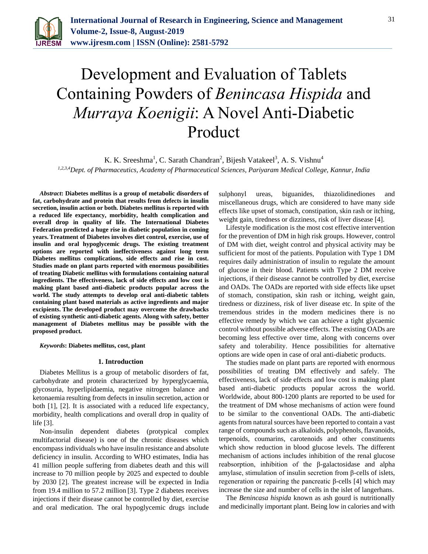

# Development and Evaluation of Tablets Containing Powders of *Benincasa Hispida* and *Murraya Koenigii*: A Novel Anti-Diabetic Product

K. K. Sreeshma<sup>1</sup>, C. Sarath Chandran<sup>2</sup>, Bijesh Vatakeel<sup>3</sup>, A. S. Vishnu<sup>4</sup> *1,2,3,4Dept. of Pharmaceutics, Academy of Pharmaceutical Sciences, Pariyaram Medical College, Kannur, India*

*Abstract***: Diabetes mellitus is a group of metabolic disorders of fat, carbohydrate and protein that results from defects in insulin secretion, insulin action or both. Diabetes mellitus is reported with a reduced life expectancy, morbidity, health complication and overall drop in quality of life. The International Diabetes Federation predicted a huge rise in diabetic population in coming years. Treatment of Diabetes involves diet control, exercise, use of insulin and oral hypoglycemic drugs. The existing treatment options are reported with ineffectiveness against long term Diabetes mellitus complications, side effects and rise in cost. Studies made on plant parts reported with enormous possibilities of treating Diabetic mellitus with formulations containing natural ingredients. The effectiveness, lack of side effects and low cost is making plant based anti-diabetic products popular across the world. The study attempts to develop oral anti-diabetic tablets containing plant based materials as active ingredients and major excipients. The developed product may overcome the drawbacks of existing synthetic anti-diabetic agents. Along with safety, better management of Diabetes mellitus may be possible with the proposed product.**

*Keywords***: Diabetes mellitus, cost, plant**

#### **1. Introduction**

Diabetes Mellitus is a group of metabolic disorders of fat, carbohydrate and protein characterized by hyperglycaemia, glycosuria, hyperlipidaemia, negative nitrogen balance and ketonaemia resulting from defects in insulin secretion, action or both [1], [2]. It is associated with a reduced life expectancy, morbidity, health complications and overall drop in quality of life [3].

Non-insulin dependent diabetes (protypical complex multifactorial disease) is one of the chronic diseases which encompass individuals who have insulin resistance and absolute deficiency in insulin. According to WHO estimates, India has 41 million people suffering from diabetes death and this will increase to 70 million people by 2025 and expected to double by 2030 [2]. The greatest increase will be expected in India from 19.4 million to 57.2 million [3]. Type 2 diabetes receives injections if their disease cannot be controlled by diet, exercise and oral medication. The oral hypoglycemic drugs include

sulphonyl ureas, biguanides, thiazolidinediones and miscellaneous drugs, which are considered to have many side effects like upset of stomach, constipation, skin rash or itching, weight gain, tiredness or dizziness, risk of liver disease [4].

Lifestyle modification is the most cost effective intervention for the prevention of DM in high risk groups. However, control of DM with diet, weight control and physical activity may be sufficient for most of the patients. Population with Type 1 DM requires daily administration of insulin to regulate the amount of glucose in their blood. Patients with Type 2 DM receive injections, if their disease cannot be controlled by diet, exercise and OADs. The OADs are reported with side effects like upset of stomach, constipation, skin rash or itching, weight gain, tiredness or dizziness, risk of liver disease etc. In spite of the tremendous strides in the modern medicines there is no effective remedy by which we can achieve a tight glycaemic control without possible adverse effects. The existing OADs are becoming less effective over time, along with concerns over safety and tolerability. Hence possibilities for alternative options are wide open in case of oral anti-diabetic products.

The studies made on plant parts are reported with enormous possibilities of treating DM effectively and safely. The effectiveness, lack of side effects and low cost is making plant based anti-diabetic products popular across the world. Worldwide, about 800-1200 plants are reported to be used for the treatment of DM whose mechanisms of action were found to be similar to the conventional OADs. The anti-diabetic agents from natural sources have been reported to contain a vast range of compounds such as alkaloids, polyphenols, flavanoids, terpenoids, coumarins, carotenoids and other constituents which show reduction in blood glucose levels. The different mechanism of actions includes inhibition of the renal glucose reabsorption, inhibition of the β-galactosidase and alpha amylase, stimulation of insulin secretion from β-cells of islets, regeneration or repairing the pancreatic β-cells [4] which may increase the size and number of cells in the islet of langerhans.

The *Benincasa hispida* known as ash gourd is nutritionally and medicinally important plant. Being low in calories and with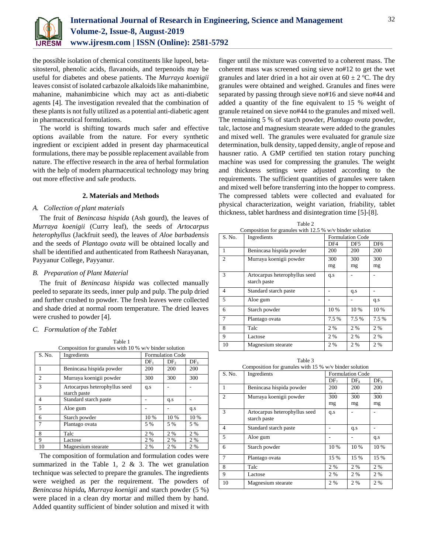

the possible isolation of chemical constituents like lupeol, betasitosterol, phenolic acids, flavanoids, and terpenoids may be useful for diabetes and obese patients. The *Murraya koenigii*  leaves consist of isolated carbazole alkaloids like mahanimbine, mahanine, mahanimbicine which may act as anti-diabetic agents [4]. The investigation revealed that the combination of these plants is not fully utilized as a potential anti-diabetic agent in pharmaceutical formulations.

The world is shifting towards much safer and effective options available from the nature. For every synthetic ingredient or excipient added in present day pharmaceutical formulations, there may be possible replacement available from nature. The effective research in the area of herbal formulation with the help of modern pharmaceutical technology may bring out more effective and safe products.

### **2. Materials and Methods**

### *A. Collection of plant materials*

The fruit of *Benincasa hispida* (Ash gourd), the leaves of *Murraya koenigii* (Curry leaf), the seeds of *Artocarpus heterophyllus* (Jackfruit seed), the leaves of *Aloe barbadensis*  and the seeds of *Plantago ovata* will be obtained locally and shall be identified and authenticated from Ratheesh Narayanan, Payyanur College, Payyanur.

### *B. Preparation of Plant Material*

The fruit of *Benincasa hispida* was collected manually peeled to separate its seeds, inner pulp and pulp. The pulp dried and further crushed to powder. The fresh leaves were collected and shade dried at normal room temperature. The dried leaves were crushed to powder [4].

#### *C. Formulation of the Tablet*

Table 1 Composition for granules with 10 % w/v binder solution

| S. No.         | Composition for granules with TO % W/V binder solution<br>Ingredients | <b>Formulation Code</b> |                 |                 |
|----------------|-----------------------------------------------------------------------|-------------------------|-----------------|-----------------|
|                |                                                                       | $DF_1$                  | DF <sub>2</sub> | DF <sub>3</sub> |
| 1              | Benincasa hispida powder                                              | 200                     | 200             | 200             |
| $\overline{c}$ | Murraya koenigii powder                                               | 300                     | 300             | 300             |
| 3              | Artocarpus heterophyllus seed<br>starch paste                         | q.s                     |                 |                 |
| $\overline{4}$ | Standard starch paste                                                 |                         | q.s             |                 |
| 5              | Aloe gum                                                              |                         |                 | q.s             |
| 6              | Starch powder                                                         | 10 %                    | 10 %            | 10 %            |
| 7              | Plantago ovata                                                        | 5 %                     | 5 %             | 5 %             |
| 8              | Talc                                                                  | 2 %                     | 2%              | 2 %             |
| 9              | Lactose                                                               | 2 %                     | 2 %             | 2 %             |
| 10             | Magnesium stearate                                                    | 2 %                     | 2 %             | 2 %             |

The composition of formulation and formulation codes were summarized in the Table 1, 2  $&$  3. The wet granulation technique was selected to prepare the granules. The ingredients were weighed as per the requirement. The powders of *Benincasa hispida, Murraya koenigii* and starch powder (5 %) were placed in a clean dry mortar and milled them by hand. Added quantity sufficient of binder solution and mixed it with finger until the mixture was converted to a coherent mass. The coherent mass was screened using sieve no#12 to get the wet granules and later dried in a hot air oven at  $60 \pm 2$  °C. The dry granules were obtained and weighed. Granules and fines were separated by passing through sieve no#16 and sieve no#44 and added a quantity of the fine equivalent to 15 % weight of granule retained on sieve no#44 to the granules and mixed well. The remaining 5 % of starch powder, *Plantago ovata* powder, talc, lactose and magnesium stearate were added to the granules and mixed well. The granules were evaluated for granule size determination, bulk density, tapped density, angle of repose and hausner ratio. A GMP certified ten station rotary punching machine was used for compressing the granules. The weight and thickness settings were adjusted according to the requirements. The sufficient quantities of granules were taken and mixed well before transferring into the hopper to compress. The compressed tablets were collected and evaluated for physical characterization, weight variation, friability, tablet thickness, tablet hardness and disintegration time [5]-[8].

| Table 2        |                                                          |                         |                 |                 |  |
|----------------|----------------------------------------------------------|-------------------------|-----------------|-----------------|--|
|                | Composition for granules with 12.5 % w/v binder solution |                         |                 |                 |  |
| S. No.         | Ingredients                                              | <b>Formulation Code</b> |                 |                 |  |
|                |                                                          | DF4                     | DF <sub>5</sub> | DF <sub>6</sub> |  |
| 1              | Benincasa hispida powder                                 | 200                     | 200             | 200             |  |
| $\overline{c}$ | Murraya koenigii powder                                  | 300                     | 300             | 300             |  |
|                |                                                          | mg                      | mg              | mg              |  |
| $\mathcal{R}$  | Artocarpus heterophyllus seed                            | q.s                     |                 |                 |  |
|                | starch paste                                             |                         |                 |                 |  |
| $\overline{4}$ | Standard starch paste                                    |                         | q.s             |                 |  |
| 5              | Aloe gum                                                 |                         |                 | q.s             |  |
| 6              | Starch powder                                            | 10 %                    | 10 %            | 10 %            |  |
| 7              | Plantago ovata                                           | 7.5 %                   | 7.5%            | 7.5 %           |  |
| 8              | Talc                                                     | 2 %                     | 2%              | 2 %             |  |
| 9              | Lactose                                                  | 2 %                     | 2%              | 2 %             |  |
| 10             | Magnesium stearate                                       | 2 %                     | 2 %             | 2%              |  |

Table 3 Composition for granules with 15 % w/v binder solution

| S. No.                   | Ingredients                   | <b>Formulation Code</b> |        |                 |
|--------------------------|-------------------------------|-------------------------|--------|-----------------|
|                          |                               | DF <sub>7</sub>         | $DF_8$ | DF <sub>o</sub> |
| 1                        | Benincasa hispida powder      | 200                     | 200    | 200             |
| $\overline{c}$           | Murraya koenigii powder       | 300                     | 300    | 300             |
|                          |                               | mg                      | mg     | mg              |
| $\mathcal{R}$            | Artocarpus heterophyllus seed | q.s                     |        |                 |
|                          | starch paste                  |                         |        |                 |
| $\overline{4}$           | Standard starch paste         |                         | q.s    |                 |
| $\overline{\phantom{0}}$ | Aloe gum                      |                         |        | q.s             |
| 6                        | Starch powder                 | 10 %                    | $10\%$ | 10 %            |
| 7                        | Plantago ovata                | 15 %                    | 15 %   | 15 %            |
| 8                        | Talc                          | 2 %                     | 2 %    | 2 %             |
| 9                        | Lactose                       | 2 %                     | 2 %    | 2%              |
| 10                       | Magnesium stearate            | 2%                      | 2 %    | 2%              |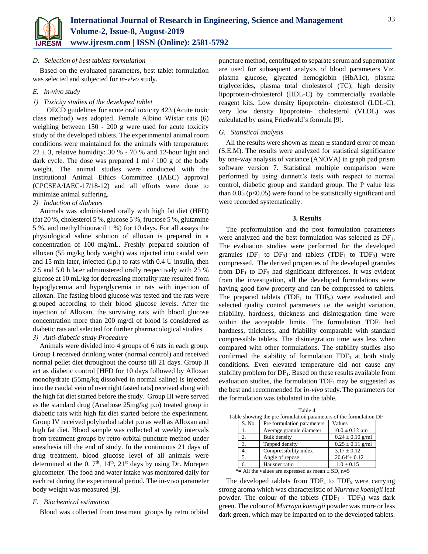

### *D. Selection of best tablets formulation*

Based on the evaluated parameters, best tablet formulation was selected and subjected for *in-vivo* study.

## *E. In-vivo study*

## *1) Toxicity studies of the developed tablet*

OECD guidelines for acute oral toxicity 423 (Acute toxic class method) was adopted. Female Albino Wistar rats (6) weighing between 150 - 200 g were used for acute toxicity study of the developed tablets. The experinmental animal room conditions were maintained for the animals with temperature:  $22 \pm 3$ , relative humidity: 30 % - 70 % and 12-hour light and dark cycle. The dose was prepared 1 ml / 100 g of the body weight. The animal studies were conducted with the Institutional Animal Ethics Committee (IAEC) approval (CPCSEA/IAEC-17/18-12) and all efforts were done to minimize animal suffering.

#### *2) Induction of diabetes*

Animals was administered orally with high fat diet (HFD) (fat 20 %, cholesterol 5 %, glucose 5 %, fructose 5 %, glutamine 5 %, and methylthiouracil 1 %) for 10 days. For all assays the physiological saline solution of alloxan is prepared in a concentration of 100 mg/mL. Freshly prepared solution of alloxan (55 mg/kg body weight) was injected into caudal vein and 15 min later, injected (i.p.) to rats with 0.4 U insulin, then 2.5 and 5.0 h later administered orally respectively with 25 % glucose at 10 mL/kg for decreasing mortality rate resulted from hypoglycemia and hyperglycemia in rats with injection of alloxan. The fasting blood glucose was tested and the rats were grouped according to their blood glucose levels. After the injection of Alloxan, the surviving rats with blood glucose concentration more than 200 mg/dl of blood is considered as diabetic rats and selected for further pharmacological studies.

#### *3) Anti-diabetic study Procedure*

Animals were divided into 4 groups of 6 rats in each group. Group I received drinking water (normal control) and received normal pellet diet throughout the course till 21 days. Group II act as diabetic control [HFD for 10 days followed by Alloxan monohydrate (55mg/kg dissolved in normal saline) is injected into the caudal vein of overnight fasted rats] received along with the high fat diet started before the study. Group III were served as the standard drug (Acarbose 25mg/kg p.o) treated group in diabetic rats with high fat diet started before the experinment. Group IV received polyherbal tablet p.o as well as Alloxan and high fat diet. Blood sample was collected at weekly intervals from treatment groups by retro-orbital puncture method under anesthesia till the end of study. In the continuous 21 days of drug treatment, blood glucose level of all animals were determined at the 0,  $7<sup>th</sup>$ ,  $14<sup>th</sup>$ ,  $21<sup>st</sup>$  days by using Dr. Morepen glucometer. The food and water intake was monitored daily for each rat during the experimental period. The in-vivo parameter body weight was measured [9].

#### *F. Biochemical estimation*

Blood was collected from treatment groups by retro orbital

puncture method, centrifuged to separate serum and supernatant are used for subsequent analysis of blood parameters Viz. plasma glucose, glycated hemoglobin (HbA1c), plasma triglycerides, plasma total cholesterol (TC), high density lipoprotein-cholesterol (HDL-C) by commercially available reagent kits. Low density lipoprotein- cholesterol (LDL-C), very low density lipoprotein- cholesterol (VLDL) was calculated by using Friedwald's formula [9].

#### *G. Statistical analysis*

All the results were shown as mean  $\pm$  standard error of mean (S.E.M). The results were analyzed for statistical significance by one-way analysis of variance (ANOVA) in graph pad prism software version 7. Statistical multiple comparison were performed by using dunnett's tests with respect to normal control, diabetic group and standard group. The P value less than  $0.05$  (p<0.05) were found to be statistically significant and were recorded systematically.

#### **3. Results**

The preformulation and the post formulation parameters were analyzed and the best formulation was selected as  $DF_1$ . The evaluation studies were performed for the developed granules ( $DF_1$  to  $DF_9$ ) and tablets ( $TDF_1$  to  $TDF_9$ ) were compressed. The derived properties of the developed granules from  $DF_1$  to  $DF_9$  had significant differences. It was evident from the investigation, all the developed formulations were having good flow property and can be compressed to tablets. The prepared tablets (TDF<sub>1</sub> to TDF<sub>9</sub>) were evaluated and selected quality control parameters i.e. the weight variation, friability, hardness, thickness and disintegration time were within the acceptable limits. The formulation  $TDF<sub>1</sub>$  had hardness, thickness, and friability comparable with standard compressible tablets. The disintegration time was less when compared with other formulations. The stability studies also confirmed the stability of formulation  $TDF_1$  at both study conditions. Even elevated temperature did not cause any stability problem for  $DF<sub>1</sub>$ . Based on these results available from evaluation studies, the formulation  $TDF_1$  may be suggested as the best and recommended for i*n-vivo* study.The parameters for the formulation was tabulated in the table.

| тавне 4                                                                |                  |                            |                        |  |
|------------------------------------------------------------------------|------------------|----------------------------|------------------------|--|
| Table showing the pre formulation parameters of the formulation $DF_1$ |                  |                            |                        |  |
|                                                                        | S. No.           | Pre formulation parameters | Values                 |  |
|                                                                        |                  | Average granule diameter   | $10.0 \pm 0.12$ µm     |  |
|                                                                        | 2.               | <b>Bulk</b> density        | $0.24 \pm 0.10$ g/ml   |  |
|                                                                        | 3.               | Tapped density             | $0.25 \pm 0.11$ g/ml   |  |
|                                                                        | $\overline{4}$ . | Compressibility index      | $3.17 \pm 0.12$        |  |
|                                                                        | 5.               | Angle of repose            | $20.64^{\circ}$ ± 0.12 |  |
|                                                                        | 6.               | Hausner ratio              | $1.0 \pm 0.15$         |  |
| *= All the values are expressed as mean $\pm$ SD, n=5                  |                  |                            |                        |  |

 $T = 1.1 - 4$ 

The developed tablets from  $TDF_1$  to  $TDF_9$  were carrying strong aroma which was characteristic of *Murraya koenigii* leaf powder. The colour of the tablets  $(TDF_1 - TDF_9)$  was dark green. The colour of *Murraya koenigii* powder was more or less dark green, which may be imparted on to the developed tablets.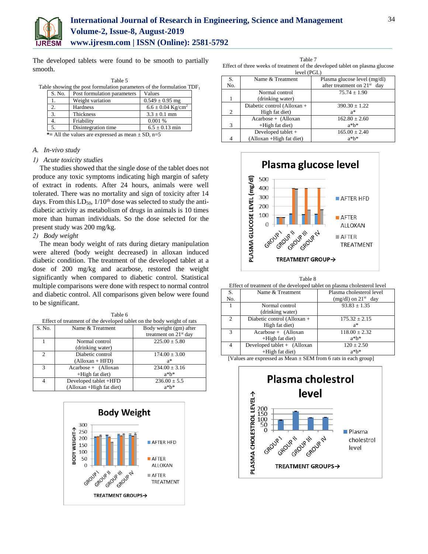

The developed tablets were found to be smooth to partially smooth.

| Table 5 |        |                                                                          |                                   |  |
|---------|--------|--------------------------------------------------------------------------|-----------------------------------|--|
|         |        | Table showing the post formulation parameters of the formulation $TDF_1$ |                                   |  |
|         | S. No. | Post formulation parameters                                              | Values                            |  |
|         |        | Weight variation                                                         | $0.549 \pm 0.95$ mg               |  |
|         | 2.     | Hardness                                                                 | $6.6 \pm 0.04$ Kg/cm <sup>2</sup> |  |
|         | 3.     | Thickness                                                                | $3.3 \pm 0.1$ mm                  |  |
|         | 4.     | Friability                                                               | 0.001%                            |  |
|         | 5.     | Disintegration time                                                      | $6.5 \pm 0.13$ min                |  |
|         | .      |                                                                          |                                   |  |

 $*$  = All the values are expressed as mean  $\pm$  SD, n=5

## *A. In-vivo study*

## *1) Acute toxicity studies*

The studies showed that the single dose of the tablet does not produce any toxic symptoms indicating high margin of safety of extract in rodents. After 24 hours, animals were well tolerated. There was no mortality and sign of toxicity after 14 days. From this  $LD_{50}$ ,  $1/10^{th}$  dose was selected to study the antidiabetic activity as metabolism of drugs in animals is 10 times more than human individuals. So the dose selected for the present study was 200 mg/kg.

## *2) Body weight*

The mean body weight of rats during dietary manipulation were altered (body weight decreased) in alloxan induced diabetic condition. The treatment of the developed tablet at a dose of 200 mg/kg and acarbose, restored the weight significantly when compared to diabetic control. Statistical multiple comparisons were done with respect to normal control and diabetic control. All comparisons given below were found to be significant.

Table 6 Effect of treatment of the developed tablet on the body weight of rats S. No. Name & Treatment Body weight (gm) after treatment on 21<sup>st</sup> day 1 Normal control (drinking water)  $225.00 \pm 5.80$ 2 Diabetic control (Alloxan + HFD)  $174.00 \pm 3.00$ a\* 3 Acarbose + (Alloxan +High fat diet)  $234.00 \pm 3.16$ a\*b\* 4 Developed tablet +HFD (Alloxan +High fat diet)  $236.00 \pm 5.5$ a\*b\*



Table 7 Effect of three weeks of treatment of the developed tablet on plasma glucose

| level (PGL) |                             |                               |  |  |
|-------------|-----------------------------|-------------------------------|--|--|
| S.          | Name & Treatment            | Plasma glucose level (mg/dl)  |  |  |
| No.         |                             | after treatment on $21st$ day |  |  |
|             | Normal control              | $75.74 \pm 1.90$              |  |  |
|             | (drinking water)            |                               |  |  |
|             | Diabetic control (Alloxan + | $390.30 \pm 1.22$             |  |  |
| 2           | High fat diet)              | $a^*$                         |  |  |
|             | $Acarbose + (Alloxan)$      | $162.80 \pm 2.60$             |  |  |
| 3           | +High fat diet)             | $a^*b^*$                      |  |  |
|             | Developed tablet +          | $165.00 \pm 2.40$             |  |  |
|             | (Alloxan +High fat diet)    | $a^*b^*$                      |  |  |



| Table 8                                                                |
|------------------------------------------------------------------------|
| ffect of treatment of the developed tablet on plasma cholesterol level |

| Effect of treatment of the developed tablet on plasma cholesterol level |                             |                          |  |  |
|-------------------------------------------------------------------------|-----------------------------|--------------------------|--|--|
| S.                                                                      | Name & Treatment            | Plasma cholesterol level |  |  |
| No.                                                                     |                             | $(mg/dl)$ on $21st$ day  |  |  |
|                                                                         | Normal control              | $93.83 \pm 1.35$         |  |  |
|                                                                         | (drinking water)            |                          |  |  |
| 2                                                                       | Diabetic control (Alloxan + | $175.32 \pm 2.15$        |  |  |
|                                                                         | High fat diet)              | $a^*$                    |  |  |
| $\mathcal{F}$                                                           | Acarbose + (Alloxan         | $118.00 \pm 2.32$        |  |  |
|                                                                         | +High fat diet)             | $a^*b^*$                 |  |  |
| 4                                                                       | Developed tablet + (Alloxan | $120 \pm 2.50$           |  |  |
|                                                                         | $+High$ fat diet)           | $a^*b^*$                 |  |  |
| <b>FT 7 1</b>                                                           | 1.31.0735c                  | $\sim$ $\sim$ $\sim$     |  |  |

[Values are expressed as Mean ± SEM from 6 rats in each group]